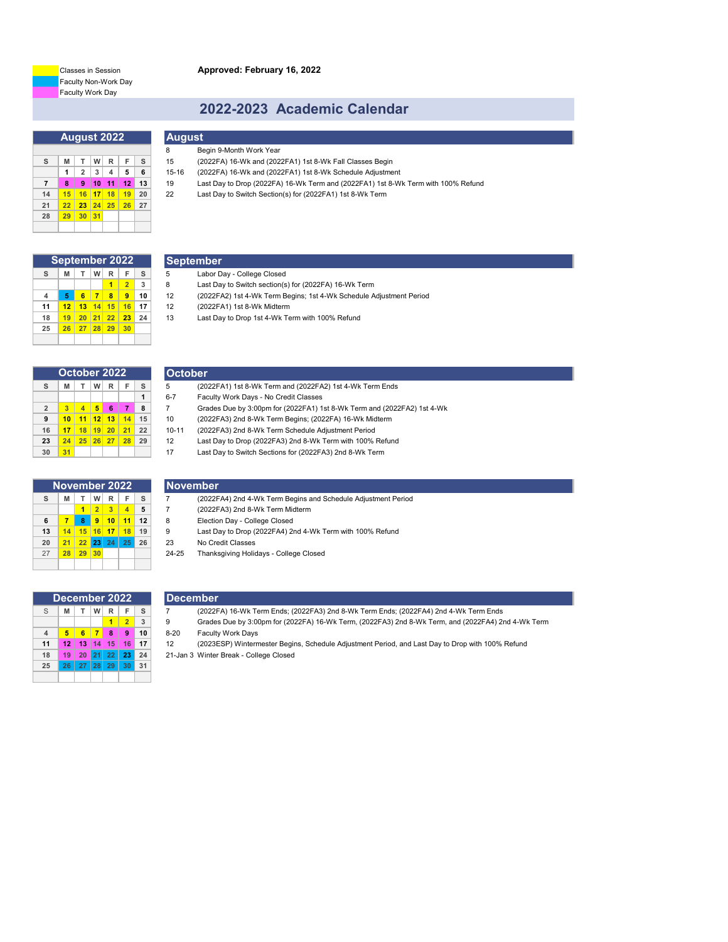**Approved: February 16, 2022**

Faculty Non-Work Day Faculty Work Day Classes in Session

## **2022-2023 Academic Calendar**

|                |    |                |    | August 20 <u>22</u> |    |    |
|----------------|----|----------------|----|---------------------|----|----|
|                |    |                |    |                     |    |    |
| s              | M  | т              | W  | $\mathsf{R}$        | F  | s  |
|                | 1  | $\overline{2}$ | 3  | $\overline{4}$      | 5  | 6  |
| $\overline{7}$ | 8  | 9              | 10 | 11                  | 12 | 13 |
| 14             | 15 | 16             | 17 | 18                  | 19 | 20 |
| 21             | 22 | 23             | 24 | 25                  | 26 | 27 |
| 28             | 29 | 30             | 31 |                     |    |    |
|                |    |                |    |                     |    |    |

| <b>August</b> |                         |
|---------------|-------------------------|
| -8            | Begin 9-Month Work Year |

- **S M T W R F S** 15 (2022FA) 16-Wk and (2022FA1) 1st 8-Wk Fall Classes Begin
- **1 2 3 4 5 6** 15-16 (2022FA) 16-Wk and (2022FA1) 1st 8-Wk Schedule Adjustment
- **7 8 9 10 11 12 13** 19 Last Day to Drop (2022FA) 16-Wk Term and (2022FA1) 1st 8-Wk Term with 100% Refund
- **14 15 16 17 18 19 20** 22 Last Day to Switch Section(s) for (2022FA1) 1st 8-Wk Term

| September 2022 |    |    |    |    |                |    |
|----------------|----|----|----|----|----------------|----|
| s              | M  | т  | w  | R  | F              | s  |
|                |    |    |    |    | $\overline{2}$ | 3  |
| 4              | 5  | 6  | 7  | 8  | 9              | 10 |
| 11             | 12 | 13 | 14 | 15 | 16             | 17 |
| 18             | 19 | 20 | 21 | 22 | 23             | 24 |
| 25             | 26 | 27 | 28 | 29 | 30             |    |
|                |    |    |    |    |                |    |

| September                  |
|----------------------------|
| Labor Day - College Closed |

- 
- **1 2 3** 8 Last Day to Switch section(s) for (2022FA) 16-Wk Term **4 5 6 7 8 9 10** 12 (2022FA2) 1st 4-Wk Term Begins; 1st 4-Wk Schedule Adjustment Period

**S M T W R F S** 5 (2022FA1) 1st 8-Wk Term and (2022FA2) 1st 4-Wk Term Ends

 **10 11 12 13 14 15** 10 (2022FA3) 2nd 8-Wk Term Begins; (2022FA) 16-Wk Midterm **17 18 19 20 21 22** 10-11 (2022FA3) 2nd 8-Wk Term Schedule Adjustment Period **24 25 26 27 28 29** 12 Last Day to Drop (2022FA3) 2nd 8-Wk Term with 100% Refund **31** 17 Last Day to Switch Sections for (2022FA3) 2nd 8-Wk Term

**2 3 4 5 6 7 8** 7 Grades Due by 3:00pm for (2022FA1) 1st 8-Wk Term and (2022FA2) 1st 4-Wk

**11 12 13 14 15 16 17** 12 (2022FA1) 1st 8-Wk Midterm

**1** 6-7 Faculty Work Days - No Credit Classes

**18 19 20 21 22 23 24** 13 Last Day to Drop 1st 4-Wk Term with 100% Refund

|                | October 2022 |                         |                 |    |    |    |
|----------------|--------------|-------------------------|-----------------|----|----|----|
| s              | M            | т                       | w               | R  | F  | s  |
|                |              |                         |                 |    |    | 1  |
| $\overline{2}$ | 3            | $\overline{\mathbf{A}}$ | 5               | 6  | 7  | 8  |
| 9              | 10           | 11                      | 12 <sup>1</sup> | 13 | 14 | 15 |
| 16             | 17           | 18                      | 19              | 20 | 21 | 22 |
| 23             | 24           | 25                      | 26<br>ı         | 27 | 28 | 29 |
| 30             | 31           |                         |                 |    |    |    |

| November 2022 |    |    |                |    |                |    |
|---------------|----|----|----------------|----|----------------|----|
| s             | M  | т  | W              | R  | F              | s  |
|               |    | 1  | $\overline{2}$ | 3  | $\overline{A}$ | 5  |
| 6             | 7  | 8  | 9              | 10 | 11             | 12 |
| 13            | 14 | 15 | 16             | 17 | 18             | 19 |
| 20            | 21 | 22 | 23             | 24 | 25             | 26 |
| 27            | 28 | 29 | 30             |    |                |    |
|               |    |    |                |    |                |    |

# **November**<br>7 (2022F

**October**<br>5 (20)

- **S M T W R F S** 7 (2022FA4) 2nd 4-Wk Term Begins and Schedule Adjustment Period
- **1 2 3 4 5** 7 (2022FA3) 2nd 8-Wk Term Midterm
- **6 7 8 9 10 11 12** 8 Election Day College Closed
- **13 14 15 16 17 18 19** 9 Last Day to Drop (2022FA4) 2nd 4-Wk Term with 100% Refund
- **20 21 22 23 24 25 26** 23 No Credit Classes
- 27 **28 29 30** 24-25 Thanksgiving Holidays College Closed

| December 2022  |    |    |         |           |                |    |
|----------------|----|----|---------|-----------|----------------|----|
| S              | M  | т  | W       | R         | F              | s  |
|                |    |    |         |           | $\overline{2}$ | 3  |
| $\overline{4}$ | 5  | 6  | 7       | 8         | 9              | 10 |
| 11             | 12 | 13 | 14<br>ı | 15        | 16             | 17 |
| 18             | 19 | 20 |         | $21 \ 22$ | 23             | 24 |
| 25             | 26 |    | 27 28   | 29        | 30             | 31 |
|                |    |    |         |           |                |    |

### **December**

- S **M T W R F S** 7 (2022FA) 16-Wk Term Ends; (2022FA3) 2nd 8-Wk Term Ends; (2022FA4) 2nd 4-Wk Term Ends
- **1 2 3** 9 Grades Due by 3:00pm for (2022FA) 16-Wk Term, (2022FA3) 2nd 8-Wk Term, and (2022FA4) 2nd 4-Wk Term **4 5 6 7 8 9 10** 8-20 Faculty Work Days

**11 12 13 14 15 16 17** 12 (2023ESP) Wintermester Begins, Schedule Adjustment Period, and Last Day to Drop with 100% Refund **18 19 20 21 22 23 24** 21-Jan 3 Winter Break - College Closed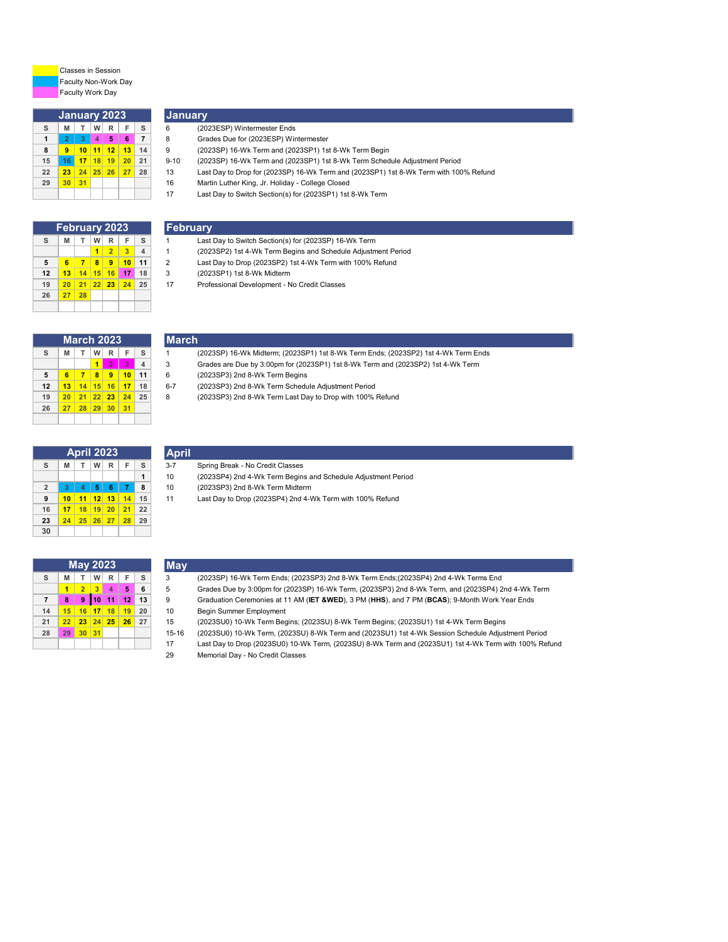

Faculty Non-Work Day Faculty Work Day Classes in Session

|    | <b>January 2023</b> |                |                |            |    |                |
|----|---------------------|----------------|----------------|------------|----|----------------|
| s  | M                   | т              | W              | R          | F  | s              |
| 1  | $\overline{2}$      | $\overline{3}$ | $\overline{4}$ | 5          | 6  | $\overline{7}$ |
| 8  | 9                   | 10             |                | $111$ 12   | 13 | 14             |
| 15 | 16                  | 17             | 18             | 19         | 20 | 21             |
| 22 | 23                  |                |                | $24$ 25 26 | 27 | 28             |
| 29 | 30                  | 31             |                |            |    |                |
|    |                     |                |                |            |    |                |

# **January**

- **S M T W R F S** 6 (2023ESP) Wintermester Ends
- **2 3 4 5 6 7** 8 Grades Due for (2023ESP) Wintermester **9 10 11 12 13 14** 9 (2023SP) 16-Wk Term and (2023SP1) 1st 8-Wk Term Begin

**S M T W R F S** 1 Last Day to Switch Section(s) for (2023SP) 16-Wk Term **2 3 4** 1 (2023SP2) 1st 4-Wk Term Begins and Schedule Adjustment Period **6 7 8 9 10 11** 2 Last Day to Drop (2023SP2) 1st 4-Wk Term with 100% Refund

**20 21 22 23 24 25** 17 Professional Development - No Credit Classes

- 
- **16 17 18 19 20 21** 9-10 (2023SP) 16-Wk Term and (2023SP1) 1st 8-Wk Term Schedule Adjustment Period
- **23 24 25 26 27 28** 13 Last Day to Drop for (2023SP) 16-Wk Term and (2023SP1) 1st 8-Wk Term with 100% Refund
- **30 31** 16 Martin Luther King, Jr. Holiday College Closed
- Last Day to Switch Section(s) for (2023SP1) 1st 8-Wk Term

| <b>February 2023</b> |    |    |    |                |    |                |
|----------------------|----|----|----|----------------|----|----------------|
| S                    | M  | т  | W  | R              | F  | s              |
|                      |    |    | 1  | $\overline{2}$ | 3  | $\overline{4}$ |
| 5                    | 6  | 7  | 8  | 9              | 10 | 11             |
| 12                   | 13 | 14 | 15 | 16             | 17 | 18             |
| 19                   | 20 | 21 | 22 | 23             | 24 | 25             |
| 26                   | 27 | 28 |    |                |    |                |
|                      |    |    |    |                |    |                |

| <b>March 2023</b> |    |    |    |                |                |                         |
|-------------------|----|----|----|----------------|----------------|-------------------------|
| s                 | M  | т  | w  | R              | F              | s                       |
|                   |    |    | 1  | $\overline{2}$ | $\overline{3}$ | $\overline{\mathbf{4}}$ |
| 5                 | 6  | 7  | 8  | 9              | 10             | 11                      |
| 12                | 13 | 14 | 15 | 16             | 17             | 18                      |
| 19                | 20 | 21 | 22 | 23             | 24             | 25                      |
| 26                | 27 | 28 | 29 | 30             | 31             |                         |
|                   |    |    |    |                |                |                         |

| <b>April 2023</b> |    |    |    |              |    |    |
|-------------------|----|----|----|--------------|----|----|
| s                 | M  | т  | W  | $\mathsf{R}$ | F  | s  |
|                   |    |    |    |              |    | 1  |
| $\overline{2}$    | 3  | 4  | 5  | 6            | 7  | 8  |
| 9                 | 10 | 11 | 12 | 13           | 14 | 15 |
| 16                | 17 | 18 | 19 | 20           | 21 | 22 |
| 23                | 24 | 25 | 26 | 27           | 28 | 29 |
| 30                |    |    |    |              |    |    |

|         | (2023SP) 16-Wk Midterm; (2023SP1) 1st 8-Wk Term Ends; (2023SP2) 1st 4-Wk Term Ends |
|---------|------------------------------------------------------------------------------------|
| 3       | Grades are Due by 3:00pm for (2023SP1) 1st 8-Wk Term and (2023SP2) 1st 4-Wk Term   |
| 6       | (2023SP3) 2nd 8-Wk Term Begins                                                     |
| $6 - 7$ | (2023SP3) 2nd 8-Wk Term Schedule Adiustment Period                                 |

**April**

**May**

**March**

**February**

- **13 14 15 16 17 18** 6-7 (2023SP3) 2nd 8-Wk Term Schedule Adjustment Period
- **20 21 22 23 24 25** 8 (2023SP3) 2nd 8-Wk Term Last Day to Drop with 100% Refund

| <b>April 2023</b> |    |                |          |              |    |    |  |
|-------------------|----|----------------|----------|--------------|----|----|--|
| s                 | M  | т              | W        | $\mathsf{R}$ | F  | s  |  |
|                   |    |                |          |              |    | 1  |  |
| $\overline{2}$    | 3  | $\overline{4}$ | <b>S</b> | 6            | 7  | 8  |  |
| 9                 | 10 | 11             | 12       | 13           | 14 | 15 |  |
| 16                | 17 | 18             | 19       | 20           | 21 | 22 |  |
| 23                | 24 | 25             | 26<br>ı  | 27           | 28 | 29 |  |
| 30                |    |                |          |              |    |    |  |

| 3-7 | Spring Break - No Credit Classes |
|-----|----------------------------------|
| 10  | (2023SP4) 2nd 4-Wk Term Begin    |

**13 14 15 16 17 18** 3 (2023SP1) 1st 8-Wk Midterm

- 10 (2023SP4) 2nd 4-Wk Term Begins and Schedule Adjustment Period **3 4 5 6 7 8** 10 (2023SP3) 2nd 8-Wk Term Midterm
	-
- **10 11 12 13 14 15** 11 Last Day to Drop (2023SP4) 2nd 4-Wk Term with 100% Refund

| May 2023       |    |                        |                         |                |    |    |
|----------------|----|------------------------|-------------------------|----------------|----|----|
| s              | M  | W<br>$\mathsf{R}$<br>т |                         | F              | s  |    |
|                | 1  | $\overline{2}$         | $\overline{\mathbf{3}}$ | $\overline{4}$ | 5  | 6  |
| $\overline{7}$ | 8  | 9                      | 10                      | 11             | 12 | 13 |
| 14             | 15 | 16<br>ı                | 17                      | 18             | 19 | 20 |
| 21             | 22 | 23   24                |                         | 25<br>ı        | 26 | 27 |
| 28             | 29 | 30                     | 31                      |                |    |    |
|                |    |                        |                         |                |    |    |

|  | S   M   T   W   R   F   S |  |  |  |  |  |  | (2023SP) 16-Wk Term Ends: (2023SP3) 2nd 8-Wk Term Ends:(2023SP4) 2nd 4-Wk Terms End |
|--|---------------------------|--|--|--|--|--|--|-------------------------------------------------------------------------------------|
|--|---------------------------|--|--|--|--|--|--|-------------------------------------------------------------------------------------|

- **2 3 4 5 6** 5 Grades Due by 3:00pm for (2023SP) 16-Wk Term, (2023SP3) 2nd 8-Wk Term, and (2023SP4) 2nd 4-Wk Term
	- **8 9 10 11 12 13** 9 Graduation Ceremonies at 11 AM (**IET &WED**), 3 PM (**HHS**), and 7 PM (**BCAS**); 9-Month Work Year Ends

**15 16 17 18 19 20** 10 Begin Summer Employment

- **22 23 24 25 26 27** 15 (2023SU0) 10-Wk Term Begins; (2023SU) 8-Wk Term Begins; (2023SU1) 1st 4-Wk Term Begins
- **29 30 31** 15-16 (2023SU0) 10-Wk Term, (2023SU) 8-Wk Term and (2023SU1) 1st 4-Wk Session Schedule Adjustment Period
- Last Day to Drop (2023SU0) 10-Wk Term, (2023SU) 8-Wk Term and (2023SU1) 1st 4-Wk Term with 100% Refund Memorial Day - No Credit Classes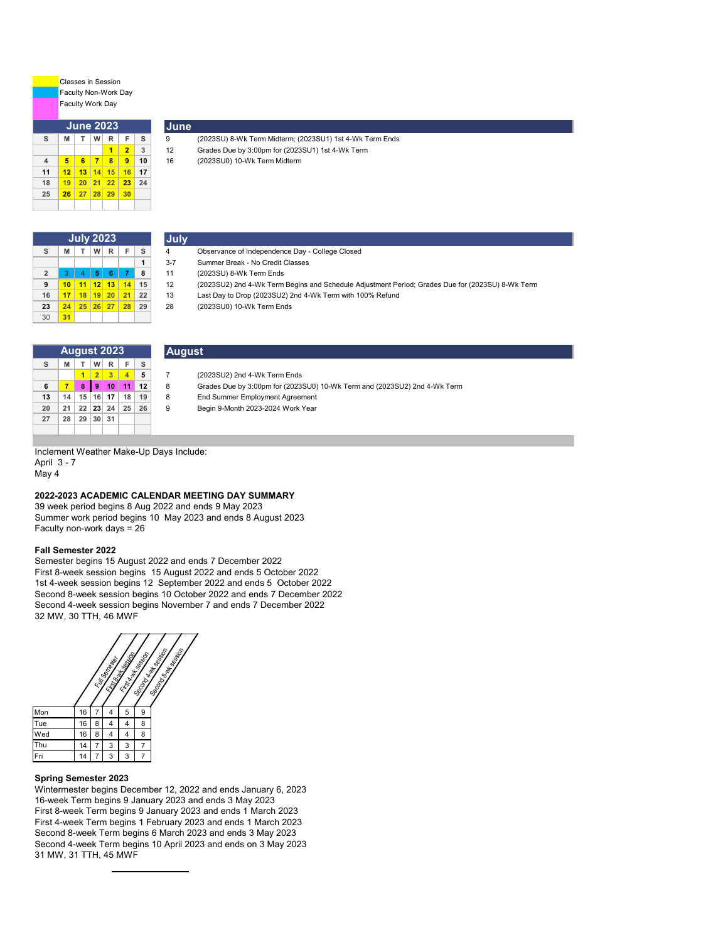Classes in Session Faculty Non-Work Day Faculty Work Day

| <b>June 2023</b> |    |         |         |    |                |                |
|------------------|----|---------|---------|----|----------------|----------------|
| s                | M  | т       | w       | R  | F              | s              |
|                  |    |         |         |    | $\overline{2}$ | $\overline{3}$ |
| $\overline{4}$   | 5  | 6       | 7       | 8  | 9              | 10             |
| 11               | 12 | 13<br>ı | 14      | 15 | 16             | 17             |
| 18               | 19 | 20      | 21      | 22 | 23             | 24             |
| 25               | 26 | 27<br>ı | 28<br>ı | 29 | 30             |                |
|                  |    |         |         |    |                |                |

| <b>July 2023</b> |    |    |    |    |    |    | <b>July</b> |                                                 |
|------------------|----|----|----|----|----|----|-------------|-------------------------------------------------|
| s                | M  |    | w  | R  | F  | s  | 4           | Observance of Independence Day - College Closed |
|                  |    |    |    |    |    |    | $3 - 7$     | Summer Break - No Credit Classes                |
| $\overline{2}$   |    |    | 5  | 6  |    | 8  | 11          | (2023SU) 8-Wk Term Ends                         |
| 9                | 10 |    | 12 | 13 | 14 | 15 | 12          | (2023SU2) 2nd 4-Wk Term Begins and Schedule A   |
| 16               | 17 | 18 | 19 | 20 | 21 | 22 | 13          | Last Day to Drop (2023SU2) 2nd 4-Wk Term with 1 |
| 23               | 24 | 25 | 26 | 27 | 28 | 29 | 28          | (2023SU0) 10-Wk Term Ends                       |
| 30               | 31 |    |    |    |    |    |             |                                                 |

**August**

**June**

| Observance of Independence Day - College Close |  |  |
|------------------------------------------------|--|--|

**S B EXAMPLE 12 (2023SU) 8-Wk Term Midterm**; (2023SU1) 1st 4-Wk Term Ends **C Grades** Due by 3:00pm for (2023SU1) 1st 4-Wk Term **1 2 3** 12 Grades Due by 3:00pm for (2023SU1) 1st 4-Wk Term

- **1** 3-7 Summer Break No Credit Classes
- **2 3 4 5 6 7 8** 11 (2023SU) 8-Wk Term Ends

**4 5 6 7 8 9 10** 16 (2023SU0) 10-Wk Term Midterm

- **9 10 11 12 13 14 15** 12 (2023SU2) 2nd 4-Wk Term Begins and Schedule Adjustment Period; Grades Due for (2023SU) 8-Wk Term
	- **16 17 18 19 20 21 22** 13 Last Day to Drop (2023SU2) 2nd 4-Wk Term with 100% Refund
- **23 24 25 26 27 28 29** 28 (2023SU0) 10-Wk Term Ends

| <b>August 2023</b> |    |                |                |                         |                |    |
|--------------------|----|----------------|----------------|-------------------------|----------------|----|
| S                  | M  | T.             | W              | $\mathsf{R}$            | F              | s  |
|                    |    |                | 2 <sup>1</sup> | $\overline{\mathbf{3}}$ | $\overline{4}$ | 5  |
| 6                  | 7  | 8              | 9 <sup>°</sup> | 10                      | $-11$          | 12 |
| 13                 | 14 |                |                | $15$   16   17          | 18             | 19 |
| 20                 | 21 | $22$   23   24 |                |                         | 25             | 26 |
| 27                 | 28 | 29 30          |                | 31                      |                |    |
|                    |    |                |                |                         |                |    |

| (2023SU2) 2nd 4-Wk Term Ends |
|------------------------------|

- **6 7 8 9 10 11 12** 8 Grades Due by 3:00pm for (2023SU0) 10-Wk Term and (2023SU2) 2nd 4-Wk Term
	-
- **13 14 15 16 17 18 19** 8 End Summer Employment Agreement **20 21 22 23 24 25 26** 9 Begin 9-Month 2023-2024 Work Year

Inclement Weather Make-Up Days Include: April 3 - 7

May 4

#### **2022-2023 ACADEMIC CALENDAR MEETING DAY SUMMARY**

Summer work period begins 10 May 2023 and ends 8 August 2023 Faculty non-work days = 26 39 week period begins 8 Aug 2022 and ends 9 May 2023

#### **Fall Semester 2022**

Semester begins 15 August 2022 and ends 7 December 2022 First 8-week session begins 15 August 2022 and ends 5 October 2022 1st 4-week session begins 12 September 2022 and ends 5 October 2022 Second 8-week session begins 10 October 2022 and ends 7 December 2022 Second 4-week session begins November 7 and ends 7 December 2022 32 MW, 30 TTH, 46 MWF



#### **Spring Semester 2023**

Wintermester begins December 12, 2022 and ends January 6, 2023 16-week Term begins 9 January 2023 and ends 3 May 2023 First 8-week Term begins 9 January 2023 and ends 1 March 2023 First 4-week Term begins 1 February 2023 and ends 1 March 2023 Second 8-week Term begins 6 March 2023 and ends 3 May 2023 Second 4-week Term begins 10 April 2023 and ends on 3 May 2023 31 MW, 31 TTH, 45 MWF